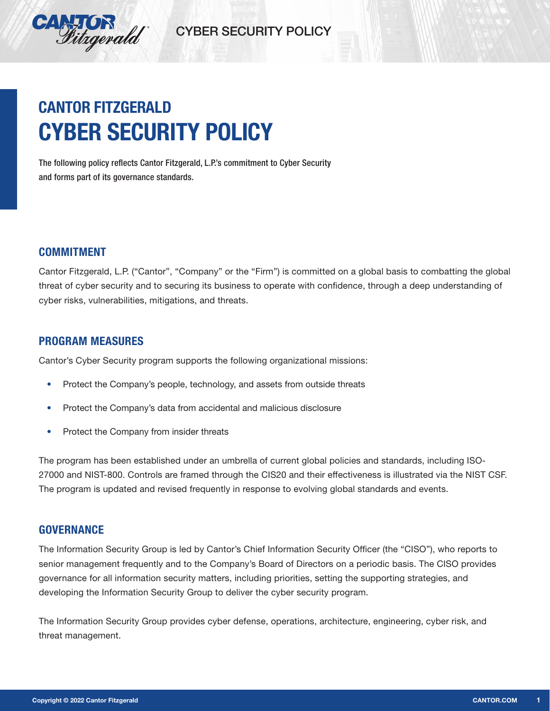

# **CANTOR FITZGERALD CYBER SECURITY POLICY**

The following policy reflects Cantor Fitzgerald, L.P.'s commitment to Cyber Security and forms part of its governance standards.

### **COMMITMENT**

Cantor Fitzgerald, L.P. ("Cantor", "Company" or the "Firm") is committed on a global basis to combatting the global threat of cyber security and to securing its business to operate with confidence, through a deep understanding of cyber risks, vulnerabilities, mitigations, and threats.

### **PROGRAM MEASURES**

Cantor's Cyber Security program supports the following organizational missions:

- **•** Protect the Company's people, technology, and assets from outside threats
- **•** Protect the Company's data from accidental and malicious disclosure
- **•** Protect the Company from insider threats

The program has been established under an umbrella of current global policies and standards, including ISO-27000 and NIST-800. Controls are framed through the CIS20 and their effectiveness is illustrated via the NIST CSF. The program is updated and revised frequently in response to evolving global standards and events.

### **GOVERNANCE**

The Information Security Group is led by Cantor's Chief Information Security Officer (the "CISO"), who reports to senior management frequently and to the Company's Board of Directors on a periodic basis. The CISO provides governance for all information security matters, including priorities, setting the supporting strategies, and developing the Information Security Group to deliver the cyber security program.

The Information Security Group provides cyber defense, operations, architecture, engineering, cyber risk, and threat management.